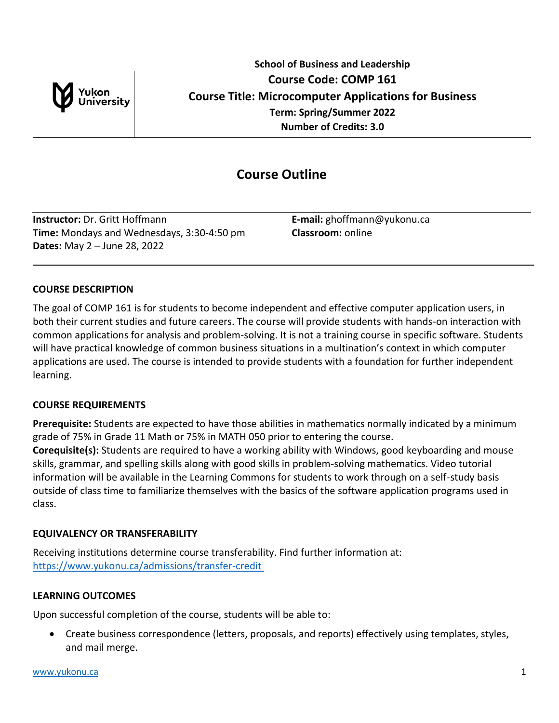

# **Course Outline**

**Instructor:** Dr. Gritt Hoffmann **E-mail:** ghoffmann@yukonu.ca **Time:** Mondays and Wednesdays, 3:30-4:50 pm **Classroom:** online **Dates:** May 2 – June 28, 2022

# **COURSE DESCRIPTION**

The goal of COMP 161 is for students to become independent and effective computer application users, in both their current studies and future careers. The course will provide students with hands-on interaction with common applications for analysis and problem-solving. It is not a training course in specific software. Students will have practical knowledge of common business situations in a multination's context in which computer applications are used. The course is intended to provide students with a foundation for further independent learning.

# **COURSE REQUIREMENTS**

**Prerequisite:** Students are expected to have those abilities in mathematics normally indicated by a minimum grade of 75% in Grade 11 Math or 75% in MATH 050 prior to entering the course. **Corequisite(s):** Students are required to have a working ability with Windows, good keyboarding and mouse skills, grammar, and spelling skills along with good skills in problem-solving mathematics. Video tutorial information will be available in the Learning Commons for students to work through on a self-study basis outside of class time to familiarize themselves with the basics of the software application programs used in

class.

# **EQUIVALENCY OR TRANSFERABILITY**

Receiving institutions determine course transferability. Find further information at: [https://www.yukonu.ca/admissions/transfer-credit](https://www.yukonu.ca/admissions/transfer-credit )

# **LEARNING OUTCOMES**

Upon successful completion of the course, students will be able to:

 Create business correspondence (letters, proposals, and reports) effectively using templates, styles, and mail merge.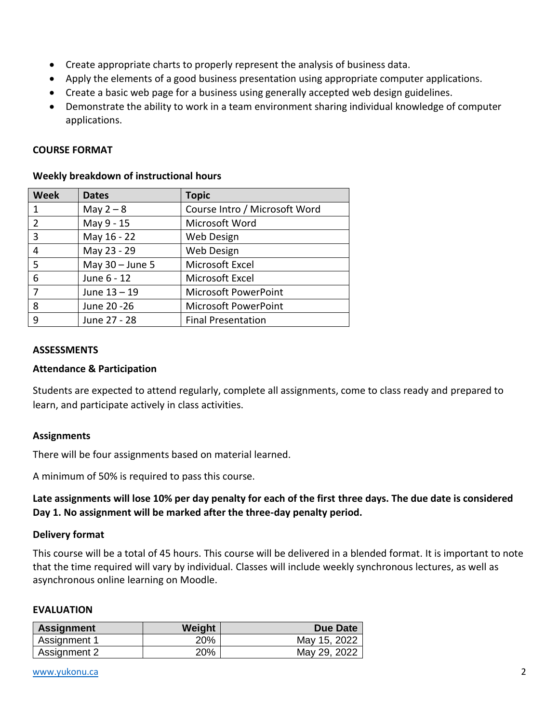- Create appropriate charts to properly represent the analysis of business data.
- Apply the elements of a good business presentation using appropriate computer applications.
- Create a basic web page for a business using generally accepted web design guidelines.
- Demonstrate the ability to work in a team environment sharing individual knowledge of computer applications.

## **COURSE FORMAT**

| <b>Week</b> | <b>Dates</b>      | <b>Topic</b>                  |
|-------------|-------------------|-------------------------------|
| 1           | May $2 - 8$       | Course Intro / Microsoft Word |
| 2           | May 9 - 15        | Microsoft Word                |
| 3           | May 16 - 22       | Web Design                    |
| 4           | May 23 - 29       | Web Design                    |
| -5          | May $30 -$ June 5 | Microsoft Excel               |
| 6           | June 6 - 12       | Microsoft Excel               |
|             | June 13 - 19      | <b>Microsoft PowerPoint</b>   |
| 8           | June 20 - 26      | <b>Microsoft PowerPoint</b>   |
| 9           | June 27 - 28      | <b>Final Presentation</b>     |

## **Weekly breakdown of instructional hours**

#### **ASSESSMENTS**

#### **Attendance & Participation**

Students are expected to attend regularly, complete all assignments, come to class ready and prepared to learn, and participate actively in class activities.

#### **Assignments**

There will be four assignments based on material learned.

A minimum of 50% is required to pass this course.

**Late assignments will lose 10% per day penalty for each of the first three days. The due date is considered Day 1. No assignment will be marked after the three-day penalty period.**

#### **Delivery format**

This course will be a total of 45 hours. This course will be delivered in a blended format. It is important to note that the time required will vary by individual. Classes will include weekly synchronous lectures, as well as asynchronous online learning on Moodle.

#### **EVALUATION**

| <b>Assignment</b> | Weight | Due Date     |
|-------------------|--------|--------------|
| Assignment 1      | 20%    | May 15, 2022 |
| Assignment 2      | 20%    | May 29, 2022 |